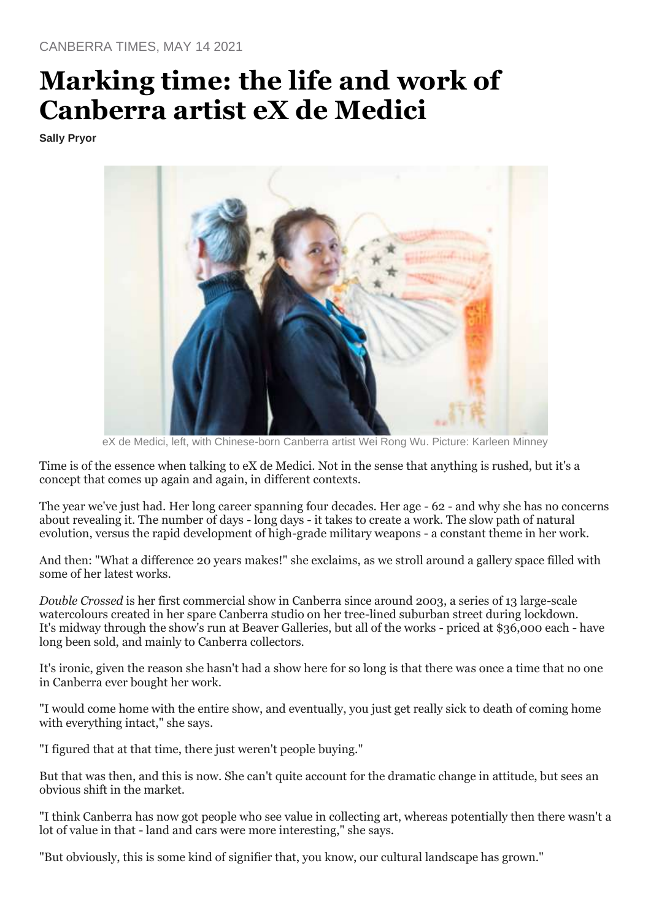## **Marking time: the life and work of Canberra artist eX de Medici**

**Sally Pryor**



eX de Medici, left, with Chinese-born Canberra artist Wei Rong Wu. Picture: Karleen Minney

Time is of the essence when talking to eX de Medici. Not in the sense that anything is rushed, but it's a concept that comes up again and again, in different contexts.

The year we've just had. Her long career spanning four decades. Her age - 62 - and why she has no concerns about revealing it. The number of days - long days - it takes to create a work. The slow path of natural evolution, versus the rapid development of high-grade military weapons - a constant theme in her work.

And then: "What a difference 20 years makes!" she exclaims, as we stroll around a gallery space filled with some of her latest works.

*Double Crossed* is her first commercial show in Canberra since around 2003, a series of 13 large-scale watercolours created in her spare Canberra studio on her tree-lined suburban street during lockdown. It's midway through the show's run at Beaver Galleries, but all of the works - priced at \$36,000 each - have long been sold, and mainly to Canberra collectors.

It's ironic, given the reason she hasn't had a show here for so long is that there was once a time that no one in Canberra ever bought her work.

"I would come home with the entire show, and eventually, you just get really sick to death of coming home with everything intact," she says.

"I figured that at that time, there just weren't people buying."

But that was then, and this is now. She can't quite account for the dramatic change in attitude, but sees an obvious shift in the market.

"I think Canberra has now got people who see value in collecting art, whereas potentially then there wasn't a lot of value in that - land and cars were more interesting," she says.

"But obviously, this is some kind of signifier that, you know, our cultural landscape has grown."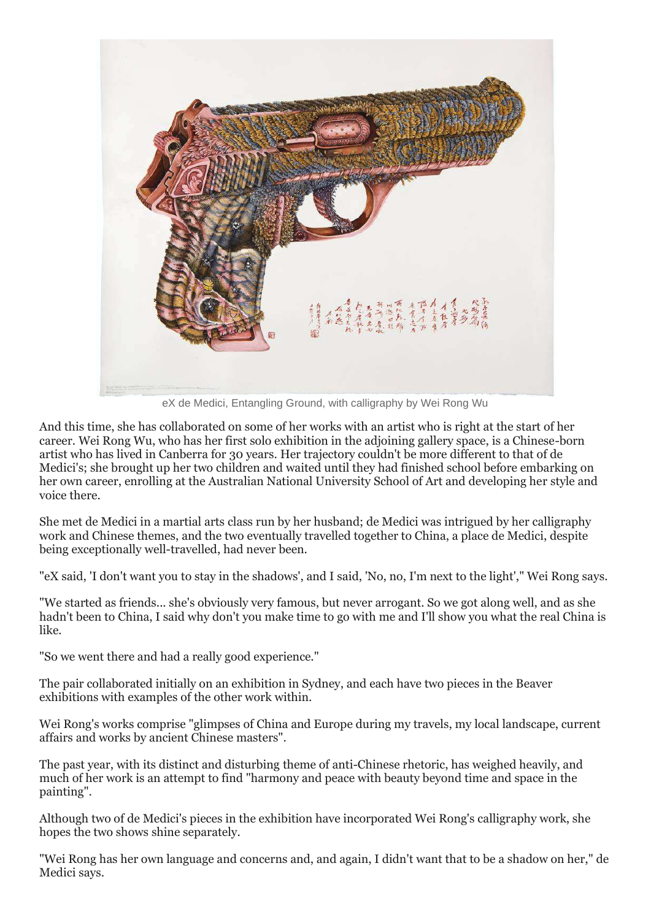

eX de Medici, Entangling Ground, with calligraphy by Wei Rong Wu

And this time, she has collaborated on some of her works with an artist who is right at the start of her career. Wei Rong Wu, who has her first solo exhibition in the adjoining gallery space, is a Chinese-born artist who has lived in Canberra for 30 years. Her trajectory couldn't be more different to that of de Medici's; she brought up her two children and waited until they had finished school before embarking on her own career, enrolling at the Australian National University School of Art and developing her style and voice there.

She met de Medici in a martial arts class run by her husband; de Medici was intrigued by her calligraphy work and Chinese themes, and the two eventually travelled together to China, a place de Medici, despite being exceptionally well-travelled, had never been.

"eX said, 'I don't want you to stay in the shadows', and I said, 'No, no, I'm next to the light'," Wei Rong says.

"We started as friends... she's obviously very famous, but never arrogant. So we got along well, and as she hadn't been to China, I said why don't you make time to go with me and I'll show you what the real China is like.

"So we went there and had a really good experience."

The pair collaborated initially on an exhibition in Sydney, and each have two pieces in the Beaver exhibitions with examples of the other work within.

Wei Rong's works comprise "glimpses of China and Europe during my travels, my local landscape, current affairs and works by ancient Chinese masters".

The past year, with its distinct and disturbing theme of anti-Chinese rhetoric, has weighed heavily, and much of her work is an attempt to find "harmony and peace with beauty beyond time and space in the painting".

Although two of de Medici's pieces in the exhibition have incorporated Wei Rong's calligraphy work, she hopes the two shows shine separately.

"Wei Rong has her own language and concerns and, and again, I didn't want that to be a shadow on her," de Medici says.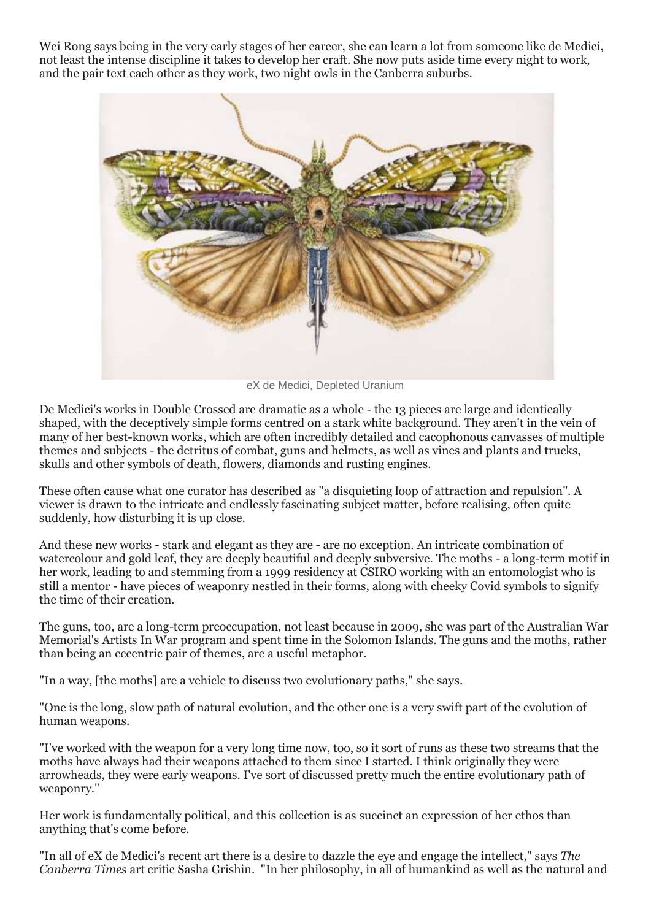Wei Rong says being in the very early stages of her career, she can learn a lot from someone like de Medici, not least the intense discipline it takes to develop her craft. She now puts aside time every night to work, and the pair text each other as they work, two night owls in the Canberra suburbs.



eX de Medici, Depleted Uranium

De Medici's works in Double Crossed are dramatic as a whole - the 13 pieces are large and identically shaped, with the deceptively simple forms centred on a stark white background. They aren't in the vein of many of her best-known works, which are often incredibly detailed and cacophonous canvasses of multiple themes and subjects - the detritus of combat, guns and helmets, as well as vines and plants and trucks, skulls and other symbols of death, flowers, diamonds and rusting engines.

These often cause what one curator has described as "a disquieting loop of attraction and repulsion". A viewer is drawn to the intricate and endlessly fascinating subject matter, before realising, often quite suddenly, how disturbing it is up close.

And these new works - stark and elegant as they are - are no exception. An intricate combination of watercolour and gold leaf, they are deeply beautiful and deeply subversive. The moths - a long-term motif in her work, leading to and stemming from a 1999 residency at CSIRO working with an entomologist who is still a mentor - have pieces of weaponry nestled in their forms, along with cheeky Covid symbols to signify the time of their creation.

The guns, too, are a long-term preoccupation, not least because in 2009, she was part of the Australian War Memorial's Artists In War program and spent time in the Solomon Islands. The guns and the moths, rather than being an eccentric pair of themes, are a useful metaphor.

"In a way, [the moths] are a vehicle to discuss two evolutionary paths," she says.

"One is the long, slow path of natural evolution, and the other one is a very swift part of the evolution of human weapons.

"I've worked with the weapon for a very long time now, too, so it sort of runs as these two streams that the moths have always had their weapons attached to them since I started. I think originally they were arrowheads, they were early weapons. I've sort of discussed pretty much the entire evolutionary path of weaponry."

Her work is fundamentally political, and this collection is as succinct an expression of her ethos than anything that's come before.

"In all of eX de Medici's recent art there is a desire to dazzle the eye and engage the intellect," says *The Canberra Times* art critic Sasha Grishin. "In her philosophy, in all of humankind as well as the natural and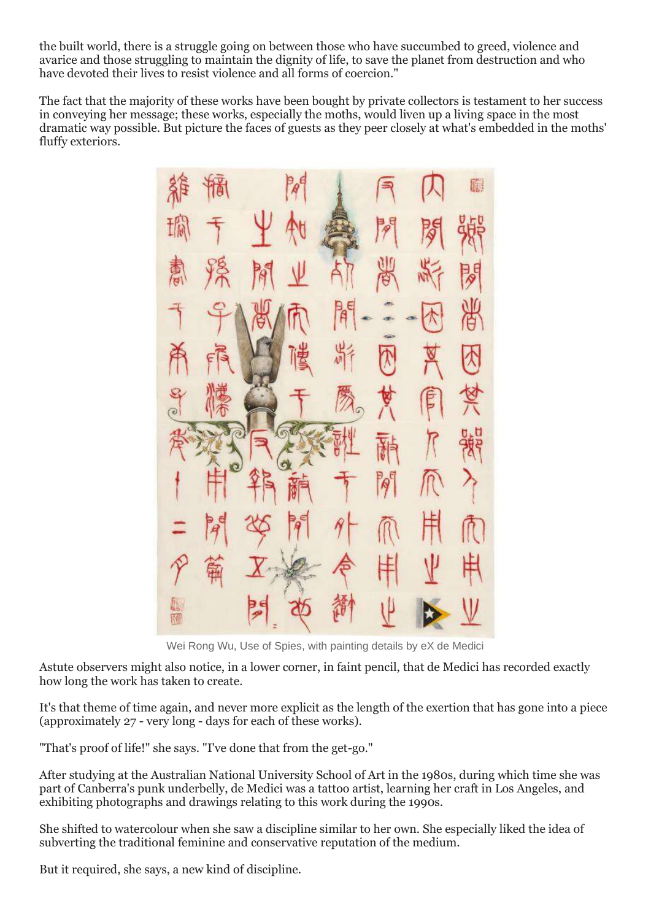the built world, there is a struggle going on between those who have succumbed to greed, violence and avarice and those struggling to maintain the dignity of life, to save the planet from destruction and who have devoted their lives to resist violence and all forms of coercion."

The fact that the majority of these works have been bought by private collectors is testament to her success in conveying her message; these works, especially the moths, would liven up a living space in the most dramatic way possible. But picture the faces of guests as they peer closely at what's embedded in the moths' fluffy exteriors.

Wei Rong Wu, Use of Spies, with painting details by eX de Medici

Astute observers might also notice, in a lower corner, in faint pencil, that de Medici has recorded exactly how long the work has taken to create.

It's that theme of time again, and never more explicit as the length of the exertion that has gone into a piece (approximately 27 - very long - days for each of these works).

"That's proof of life!" she says. "I've done that from the get-go."

After studying at the Australian National University School of Art in the 1980s, during which time she was part of Canberra's punk underbelly, de Medici was a tattoo artist, learning her craft in Los Angeles, and exhibiting photographs and drawings relating to this work during the 1990s.

She shifted to watercolour when she saw a discipline similar to her own. She especially liked the idea of subverting the traditional feminine and conservative reputation of the medium.

But it required, she says, a new kind of discipline.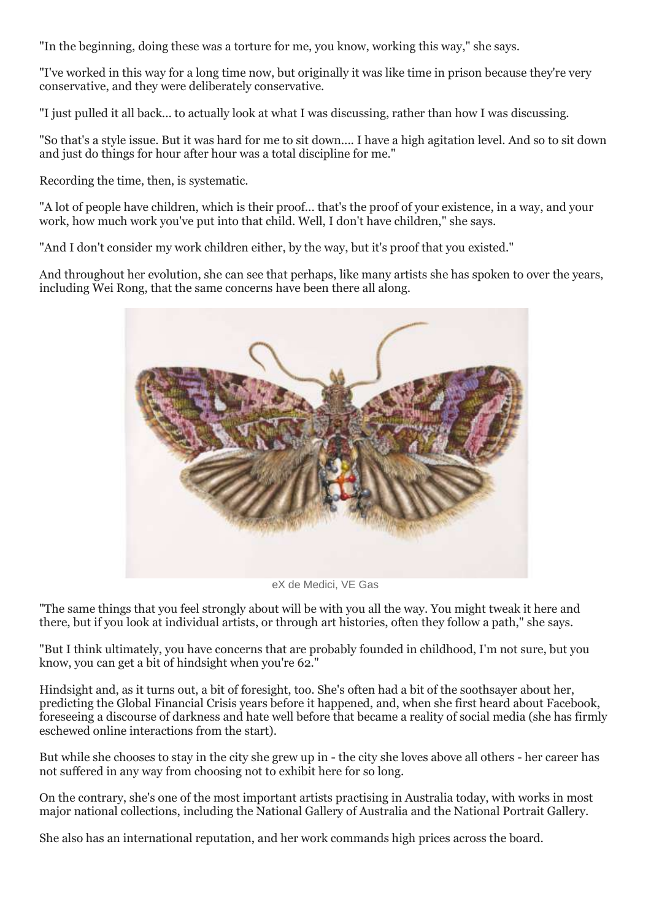"In the beginning, doing these was a torture for me, you know, working this way," she says.

"I've worked in this way for a long time now, but originally it was like time in prison because they're very conservative, and they were deliberately conservative.

"I just pulled it all back... to actually look at what I was discussing, rather than how I was discussing.

"So that's a style issue. But it was hard for me to sit down.... I have a high agitation level. And so to sit down and just do things for hour after hour was a total discipline for me."

Recording the time, then, is systematic.

"A lot of people have children, which is their proof... that's the proof of your existence, in a way, and your work, how much work you've put into that child. Well, I don't have children," she says.

"And I don't consider my work children either, by the way, but it's proof that you existed."

And throughout her evolution, she can see that perhaps, like many artists she has spoken to over the years, including Wei Rong, that the same concerns have been there all along.



eX de Medici, VE Gas

"The same things that you feel strongly about will be with you all the way. You might tweak it here and there, but if you look at individual artists, or through art histories, often they follow a path," she says.

"But I think ultimately, you have concerns that are probably founded in childhood, I'm not sure, but you know, you can get a bit of hindsight when you're 62."

Hindsight and, as it turns out, a bit of foresight, too. She's often had a bit of the soothsayer about her, predicting the Global Financial Crisis years before it happened, and, when she first heard about Facebook, foreseeing a discourse of darkness and hate well before that became a reality of social media (she has firmly eschewed online interactions from the start).

But while she chooses to stay in the city she grew up in - the city she loves above all others - her career has not suffered in any way from choosing not to exhibit here for so long.

On the contrary, she's one of the most important artists practising in Australia today, with works in most major national collections, including the National Gallery of Australia and the National Portrait Gallery.

She also has an international reputation, and her work commands high prices across the board.